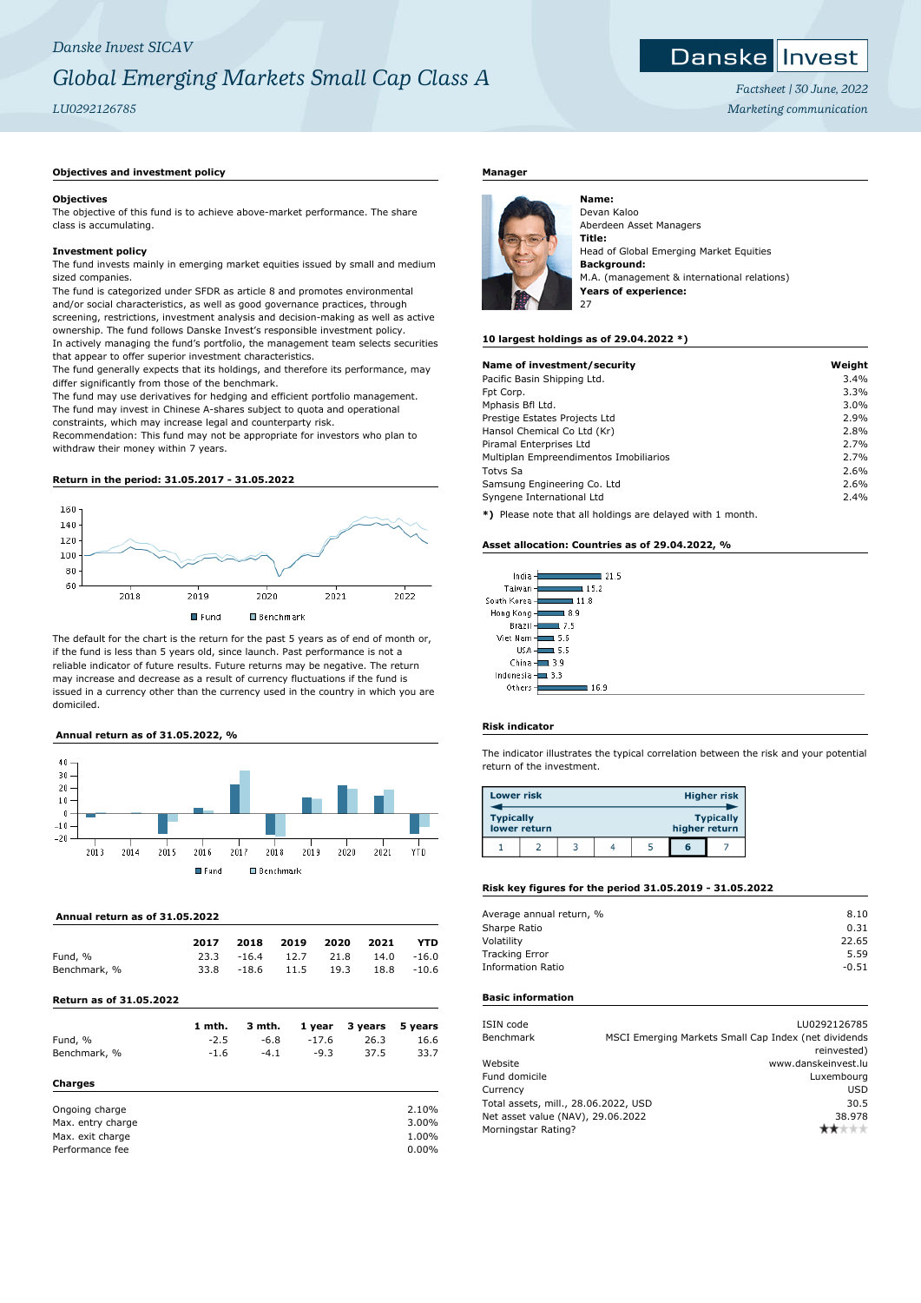# *Danske Invest SICAV Global Emerging Markets Small Cap Class A*

*LU0292126785*

# **Objectives and investment policy**

#### **Objectives**

The objective of this fund is to achieve above-market performance. The share class is accumulating.

#### **Investment policy**

The fund invests mainly in emerging market equities issued by small and medium sized companies.

The fund is categorized under SFDR as article 8 and promotes environmental and/or social characteristics, as well as good governance practices, through screening, restrictions, investment analysis and decision-making as well as active ownership. The fund follows Danske Invest's responsible investment policy. In actively managing the fund's portfolio, the management team selects securities that appear to offer superior investment characteristics.

The fund generally expects that its holdings, and therefore its performance, may differ significantly from those of the benchmark.

The fund may use derivatives for hedging and efficient portfolio management. The fund may invest in Chinese A-shares subject to quota and operational constraints, which may increase legal and counterparty risk.

Recommendation: This fund may not be appropriate for investors who plan to withdraw their money within 7 years.

# **Return in the period: 31.05.2017 - 31.05.2022**



The default for the chart is the return for the past 5 years as of end of month or, if the fund is less than 5 years old, since launch. Past performance is not a reliable indicator of future results. Future returns may be negative. The return may increase and decrease as a result of currency fluctuations if the fund is issued in a currency other than the currency used in the country in which you are domiciled.

## **Annual return as of 31.05.2022, %**



## **Annual return as of 31.05.2022**

|                                | 1 mth. | 3 mth.  |      | 1 year 3 years |      | 5 vears |
|--------------------------------|--------|---------|------|----------------|------|---------|
| <b>Return as of 31.05.2022</b> |        |         |      |                |      |         |
| Benchmark, %                   | 33.8   | $-18.6$ | 11.5 | 19.3           | 18.8 | $-10.6$ |
| Fund, %                        | 23.3   | $-16.4$ | 12.7 | 21.8           | 14.0 | $-16.0$ |
|                                | 2017   | 2018    | 2019 | 2020           | 2021 | YTD     |
|                                |        |         |      |                |      |         |

| Fund, %           | $-2.5$ | -6.8   | $-17.6$ | 26.3  | 16.6  |  |
|-------------------|--------|--------|---------|-------|-------|--|
| Benchmark, %      | $-1.6$ | $-4.1$ | $-9.3$  | 37.5  | 33.7  |  |
|                   |        |        |         |       |       |  |
| <b>Charges</b>    |        |        |         |       |       |  |
|                   |        |        |         |       |       |  |
| Ongoing charge    |        |        |         |       | 2.10% |  |
| Max. entry charge |        |        |         | 3.00% |       |  |
| Max. exit charge  |        | 1.00%  |         |       |       |  |
| Performance fee   |        |        |         |       | 0.00% |  |
|                   |        |        |         |       |       |  |

## **Manager**



Devan Kaloo Aberdeen Asset Managers **Title:** Head of Global Emerging Market Equities **Background:** M.A. (management & international relations) **Years of experience:** 27

#### **10 largest holdings as of 29.04.2022 \*)**

**Name:**

| Name of investment/security                                | Weight |
|------------------------------------------------------------|--------|
| Pacific Basin Shipping Ltd.                                | 3.4%   |
| Fpt Corp.                                                  | 3.3%   |
| Mphasis Bfl Ltd.                                           | 3.0%   |
| Prestige Estates Projects Ltd                              | 2.9%   |
| Hansol Chemical Co Ltd (Kr)                                | 2.8%   |
| Piramal Enterprises Ltd                                    | 2.7%   |
| Multiplan Empreendimentos Imobiliarios                     | 2.7%   |
| Totys Sa                                                   | 2.6%   |
| Samsung Engineering Co. Ltd                                | 2.6%   |
| Syngene International Ltd                                  | 2.4%   |
| *) Please note that all holdings are delayed with 1 month. |        |

#### **Asset allocation: Countries as of 29.04.2022, %**

| India        | 21.5 |
|--------------|------|
| Taiwan       | 15.2 |
| outh Korea - | 11.8 |
| Hong Kong    | 8.9  |
| Brazil       | 7.5  |
| Viet Nam     | 5.6  |
| <b>USA</b>   | 5.5  |
| China        | 3.9  |
| Indonesia    | 3.3  |
| Others       | 16.9 |

#### **Risk indicator**

 $\overline{\mathbf{s}}$ 

The indicator illustrates the typical correlation between the risk and your potential return of the investment.

| <b>Lower risk</b> |              |  |               | Higher risk      |
|-------------------|--------------|--|---------------|------------------|
| <b>Typically</b>  | lower return |  | higher return | <b>Typically</b> |
|                   |              |  | G             |                  |

## **Risk key figures for the period 31.05.2019 - 31.05.2022**

| Average annual return, % | 8.10    |
|--------------------------|---------|
| Sharpe Ratio             | 0.31    |
| Volatility               | 22.65   |
| <b>Tracking Error</b>    | 5.59    |
| <b>Information Ratio</b> | $-0.51$ |
|                          |         |

# **Basic information**

| ISIN code                            |        | LU0292126785                                         |
|--------------------------------------|--------|------------------------------------------------------|
|                                      |        |                                                      |
| Benchmark                            |        | MSCI Emerging Markets Small Cap Index (net dividends |
|                                      |        | reinvested)                                          |
| Website                              |        | www.danskeinvest.lu                                  |
| Fund domicile                        |        | Luxembourg                                           |
| Currency                             |        | <b>USD</b>                                           |
| Total assets, mill., 28.06.2022, USD | 30.5   |                                                      |
| Net asset value (NAV), 29.06.2022    | 38.978 |                                                      |
| Morningstar Rating?                  |        |                                                      |
|                                      |        |                                                      |



*Factsheet | 30 June, 2022 Marketing communication*